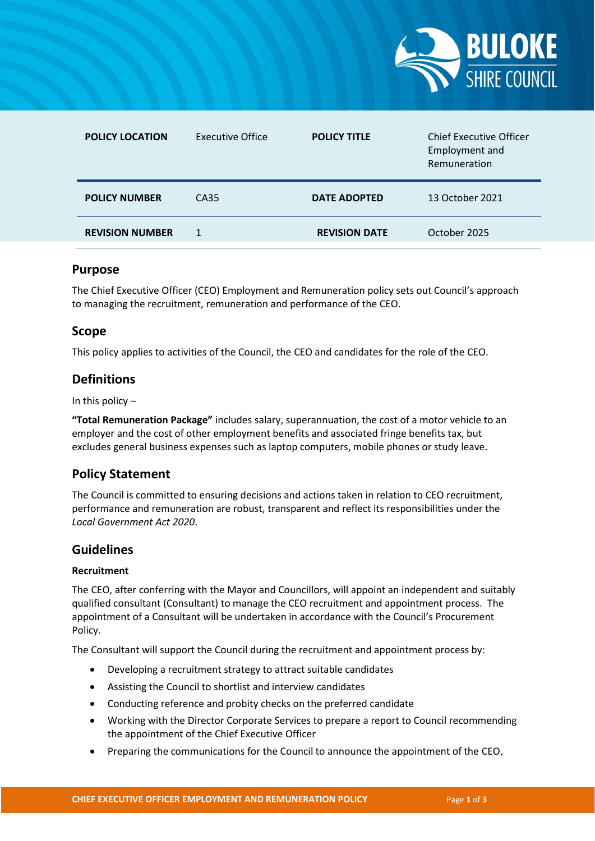

| <b>POLICY LOCATION</b> | <b>Executive Office</b> | <b>POLICY TITLE</b>  | <b>Chief Executive Officer</b><br>Employment and<br>Remuneration |
|------------------------|-------------------------|----------------------|------------------------------------------------------------------|
| <b>POLICY NUMBER</b>   | CA35                    | <b>DATE ADOPTED</b>  | 13 October 2021                                                  |
| <b>REVISION NUMBER</b> |                         | <b>REVISION DATE</b> | October 2025                                                     |

# **Purpose**

The Chief Executive Officer (CEO) Employment and Remuneration policy sets out Council's approach to managing the recruitment, remuneration and performance of the CEO.

# **Scope**

This policy applies to activities of the Council, the CEO and candidates for the role of the CEO.

# **Definitions**

In this policy  $-$ 

**"Total Remuneration Package"** includes salary, superannuation, the cost of a motor vehicle to an employer and the cost of other employment benefits and associated fringe benefits tax, but excludes general business expenses such as laptop computers, mobile phones or study leave.

# **Policy Statement**

The Council is committed to ensuring decisions and actions taken in relation to CEO recruitment, performance and remuneration are robust, transparent and reflect its responsibilities under the *Local Government Act 2020*.

# **Guidelines**

#### **Recruitment**

The CEO, after conferring with the Mayor and Councillors, will appoint an independent and suitably qualified consultant (Consultant) to manage the CEO recruitment and appointment process. The appointment of a Consultant will be undertaken in accordance with the Council's Procurement Policy.

The Consultant will support the Council during the recruitment and appointment process by:

- Developing a recruitment strategy to attract suitable candidates
- Assisting the Council to shortlist and interview candidates
- Conducting reference and probity checks on the preferred candidate
- Working with the Director Corporate Services to prepare a report to Council recommending the appointment of the Chief Executive Officer
- Preparing the communications for the Council to announce the appointment of the CEO,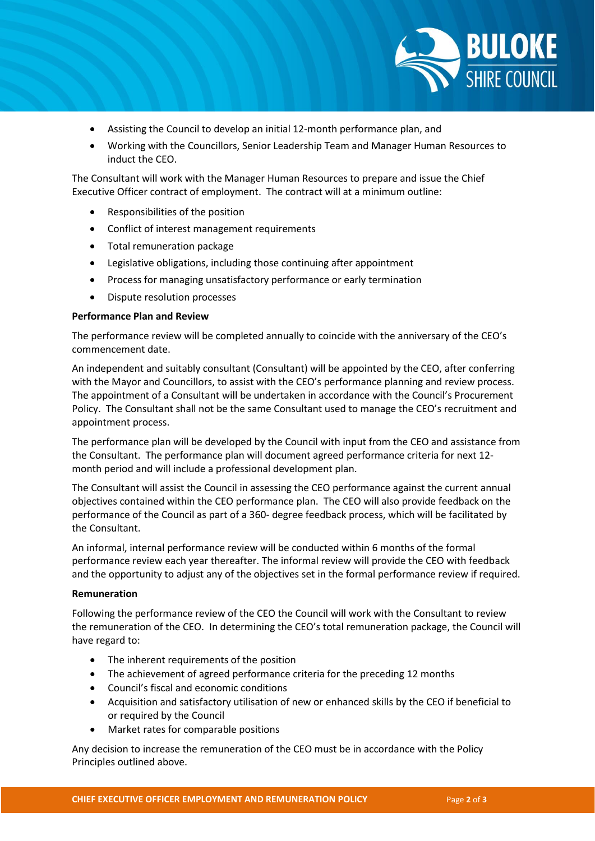

- Assisting the Council to develop an initial 12-month performance plan, and
- Working with the Councillors, Senior Leadership Team and Manager Human Resources to induct the CEO.

The Consultant will work with the Manager Human Resources to prepare and issue the Chief Executive Officer contract of employment. The contract will at a minimum outline:

- Responsibilities of the position
- Conflict of interest management requirements
- Total remuneration package
- Legislative obligations, including those continuing after appointment
- Process for managing unsatisfactory performance or early termination
- Dispute resolution processes

### **Performance Plan and Review**

The performance review will be completed annually to coincide with the anniversary of the CEO's commencement date.

An independent and suitably consultant (Consultant) will be appointed by the CEO, after conferring with the Mayor and Councillors, to assist with the CEO's performance planning and review process. The appointment of a Consultant will be undertaken in accordance with the Council's Procurement Policy. The Consultant shall not be the same Consultant used to manage the CEO's recruitment and appointment process.

The performance plan will be developed by the Council with input from the CEO and assistance from the Consultant. The performance plan will document agreed performance criteria for next 12 month period and will include a professional development plan.

The Consultant will assist the Council in assessing the CEO performance against the current annual objectives contained within the CEO performance plan. The CEO will also provide feedback on the performance of the Council as part of a 360- degree feedback process, which will be facilitated by the Consultant.

An informal, internal performance review will be conducted within 6 months of the formal performance review each year thereafter. The informal review will provide the CEO with feedback and the opportunity to adjust any of the objectives set in the formal performance review if required.

### **Remuneration**

Following the performance review of the CEO the Council will work with the Consultant to review the remuneration of the CEO. In determining the CEO's total remuneration package, the Council will have regard to:

- The inherent requirements of the position
- The achievement of agreed performance criteria for the preceding 12 months
- Council's fiscal and economic conditions
- Acquisition and satisfactory utilisation of new or enhanced skills by the CEO if beneficial to or required by the Council
- Market rates for comparable positions

Any decision to increase the remuneration of the CEO must be in accordance with the Policy Principles outlined above.